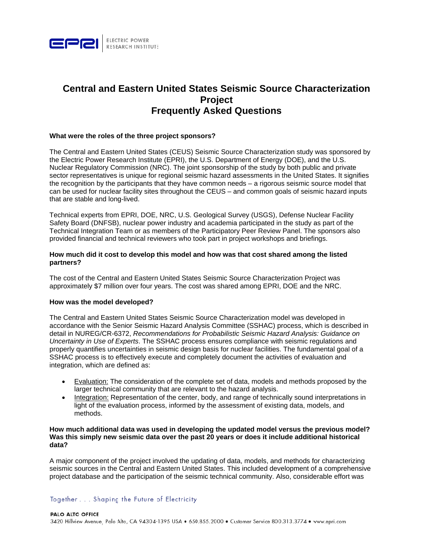

# **Central and Eastern United States Seismic Source Characterization Project Frequently Asked Questions**

#### What were the roles of the three project sponsors?

The Central and Eastern United States (CEUS) Seismic Source Characterization study was sponsored by the Electric Power Research Institute (EPRI), the U.S. Department of Energy (DOE), and the U.S. Nuclear Regulatory Commission (NRC). The joint sponsorship of the study by both public and private sector representatives is unique for regional seismic hazard assessments in the United States. It signifies the recognition by the participants that they have common needs  $-$  a rigorous seismic source model that can be used for nuclear facility sites throughout the CEUS – and common goals of seismic hazard inputs that are stable and long-lived.

Technical experts from EPRI, DOE, NRC, U.S. Geological Survey (USGS), Defense Nuclear Facility Safety Board (DNFSB), nuclear power industry and academia participated in the study as part of the Technical Integration Team or as members of the Participatory Peer Review Panel. The sponsors also provided financial and technical reviewers who took part in project workshops and briefings.

#### How much did it cost to develop this model and how was that cost shared among the listed partners?

The cost of the Central and Eastern United States Seismic Source Characterization Project was approximately \$7 million over four years. The cost was shared among EPRI, DOE and the NRC.

#### How was the model developed?

The Central and Eastern United States Seismic Source Characterization model was developed in accordance with the Senior Seismic Hazard Analysis Committee (SSHAC) process, which is described in detail in NUREG/CR-6372. Recommendations for Probabilistic Seismic Hazard Analysis: Guidance on Uncertainty in Use of Experts. The SSHAC process ensures compliance with seismic regulations and properly quantifies uncertainties in seismic design basis for nuclear facilities. The fundamental goal of a SSHAC process is to effectively execute and completely document the activities of evaluation and integration, which are defined as:

- Evaluation: The consideration of the complete set of data, models and methods proposed by the larger technical community that are relevant to the hazard analysis.
- Integration: Representation of the center, body, and range of technically sound interpretations in light of the evaluation process, informed by the assessment of existing data, models, and methods.

#### How much additional data was used in developing the updated model versus the previous model? Was this simply new seismic data over the past 20 years or does it include additional historical data?

A major component of the project involved the updating of data, models, and methods for characterizing seismic sources in the Central and Eastern United States. This included development of a comprehensive project database and the participation of the seismic technical community. Also, considerable effort was

# Together . . . Shaping the Future of Electricity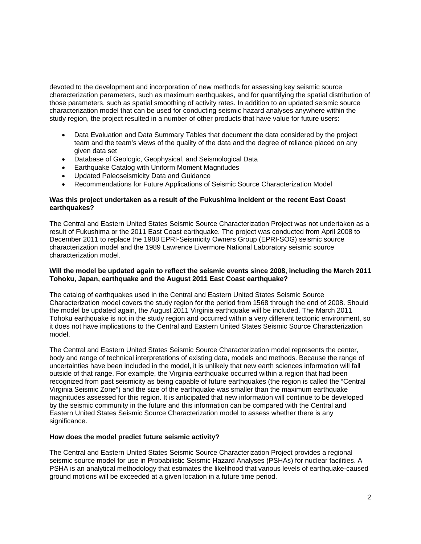devoted to the development and incorporation of new methods for assessing key seismic source characterization parameters, such as maximum earthquakes, and for quantifying the spatial distribution of those parameters, such as spatial smoothing of activity rates. In addition to an updated seismic source characterization model that can be used for conducting seismic hazard analyses anywhere within the study region, the project resulted in a number of other products that have value for future users:

- Data Evaluation and Data Summary Tables that document the data considered by the project team and the team's views of the quality of the data and the degree of reliance placed on any given data set
- Database of Geologic, Geophysical, and Seismological Data
- Earthquake Catalog with Uniform Moment Magnitudes
- Updated Paleoseismicity Data and Guidance
- Recommendations for Future Applications of Seismic Source Characterization Model

# **Was this project undertaken as a result of the Fukushima incident or the recent East Coast earthquakes?**

The Central and Eastern United States Seismic Source Characterization Project was not undertaken as a result of Fukushima or the 2011 East Coast earthquake. The project was conducted from April 2008 to December 2011 to replace the 1988 EPRI-Seismicity Owners Group (EPRI-SOG) seismic source characterization model and the 1989 Lawrence Livermore National Laboratory seismic source characterization model.

# **Will the model be updated again to reflect the seismic events since 2008, including the March 2011 Tohoku, Japan, earthquake and the August 2011 East Coast earthquake?**

The catalog of earthquakes used in the Central and Eastern United States Seismic Source Characterization model covers the study region for the period from 1568 through the end of 2008. Should the model be updated again, the August 2011 Virginia earthquake will be included. The March 2011 Tohoku earthquake is not in the study region and occurred within a very different tectonic environment, so it does not have implications to the Central and Eastern United States Seismic Source Characterization model.

The Central and Eastern United States Seismic Source Characterization model represents the center, body and range of technical interpretations of existing data, models and methods. Because the range of uncertainties have been included in the model, it is unlikely that new earth sciences information will fall outside of that range. For example, the Virginia earthquake occurred within a region that had been recognized from past seismicity as being capable of future earthquakes (the region is called the "Central Virginia Seismic Zone") and the size of the earthquake was smaller than the maximum earthquake magnitudes assessed for this region. It is anticipated that new information will continue to be developed by the seismic community in the future and this information can be compared with the Central and Eastern United States Seismic Source Characterization model to assess whether there is any significance.

# **How does the model predict future seismic activity?**

The Central and Eastern United States Seismic Source Characterization Project provides a regional seismic source model for use in Probabilistic Seismic Hazard Analyses (PSHAs) for nuclear facilities. A PSHA is an analytical methodology that estimates the likelihood that various levels of earthquake-caused ground motions will be exceeded at a given location in a future time period.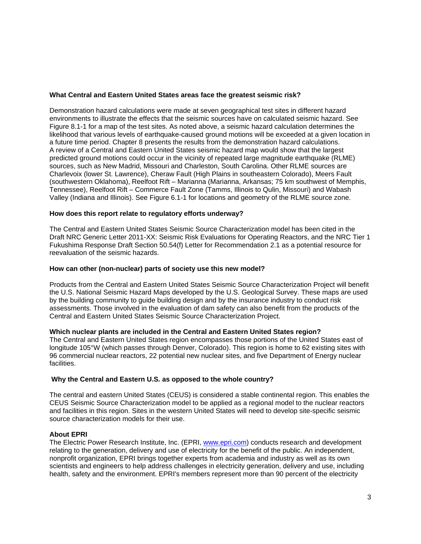# **What Central and Eastern United States areas face the greatest seismic risk?**

Demonstration hazard calculations were made at seven geographical test sites in different hazard environments to illustrate the effects that the seismic sources have on calculated seismic hazard. See Figure 8.1-1 for a map of the test sites. As noted above, a seismic hazard calculation determines the likelihood that various levels of earthquake-caused ground motions will be exceeded at a given location in a future time period. Chapter 8 presents the results from the demonstration hazard calculations. A review of a Central and Eastern United States seismic hazard map would show that the largest predicted ground motions could occur in the vicinity of repeated large magnitude earthquake (RLME) sources, such as New Madrid, Missouri and Charleston, South Carolina. Other RLME sources are Charlevoix (lower St. Lawrence), Cheraw Fault (High Plains in southeastern Colorado), Meers Fault (southwestern Oklahoma), Reelfoot Rift – Marianna (Marianna, Arkansas; 75 km southwest of Memphis, Tennessee), Reelfoot Rift – Commerce Fault Zone (Tamms, Illinois to Qulin, Missouri) and Wabash Valley (Indiana and Illinois). See Figure 6.1-1 for locations and geometry of the RLME source zone.

# **How does this report relate to regulatory efforts underway?**

The Central and Eastern United States Seismic Source Characterization model has been cited in the Draft NRC Generic Letter 2011-XX: Seismic Risk Evaluations for Operating Reactors, and the NRC Tier 1 Fukushima Response Draft Section 50.54(f) Letter for Recommendation 2.1 as a potential resource for reevaluation of the seismic hazards.

# **How can other (non-nuclear) parts of society use this new model?**

Products from the Central and Eastern United States Seismic Source Characterization Project will benefit the U.S. National Seismic Hazard Maps developed by the U.S. Geological Survey. These maps are used by the building community to guide building design and by the insurance industry to conduct risk assessments. Those involved in the evaluation of dam safety can also benefit from the products of the Central and Eastern United States Seismic Source Characterization Project.

# **Which nuclear plants are included in the Central and Eastern United States region?**

The Central and Eastern United States region encompasses those portions of the United States east of longitude 105°W (which passes through Denver, Colorado). This region is home to 62 existing sites with 96 commercial nuclear reactors, 22 potential new nuclear sites, and five Department of Energy nuclear facilities.

# **Why the Central and Eastern U.S. as opposed to the whole country?**

The central and eastern United States (CEUS) is considered a stable continental region. This enables the CEUS Seismic Source Characterization model to be applied as a regional model to the nuclear reactors and facilities in this region. Sites in the western United States will need to develop site-specific seismic source characterization models for their use.

# **About EPRI**

The Electric Power Research Institute, Inc. (EPRI, www.epri.com) conducts research and development relating to the generation, delivery and use of electricity for the benefit of the public. An independent, nonprofit organization, EPRI brings together experts from academia and industry as well as its own scientists and engineers to help address challenges in electricity generation, delivery and use, including health, safety and the environment. EPRI's members represent more than 90 percent of the electricity